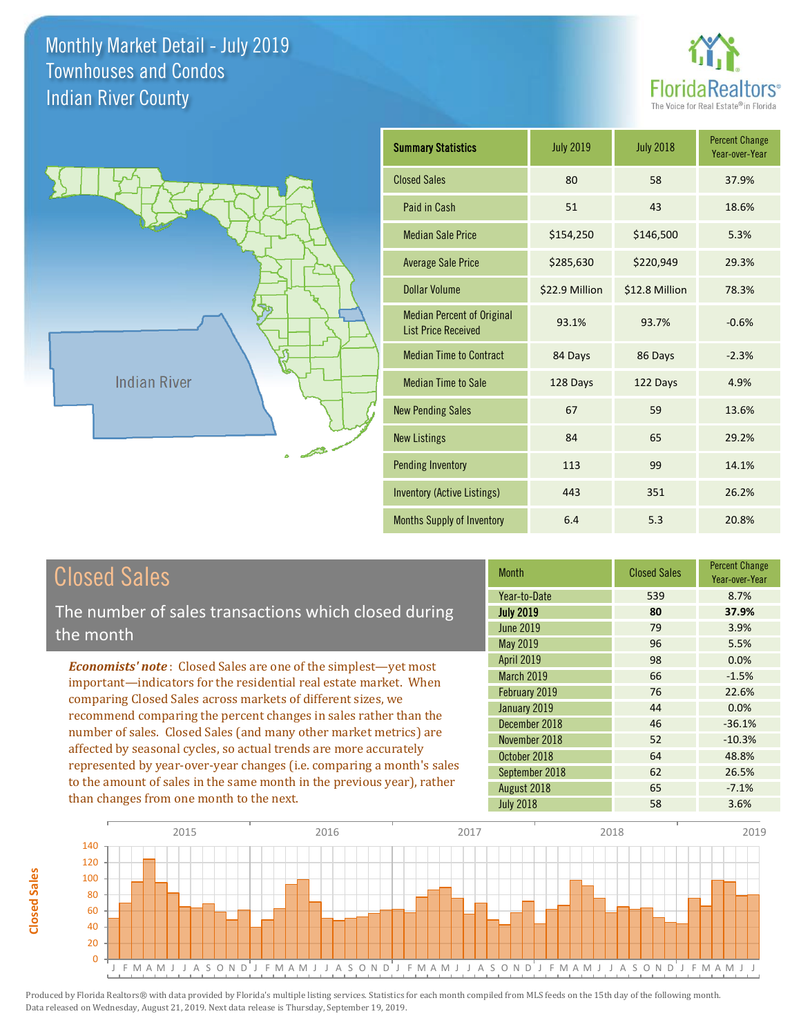**Closed Sales**

**Closed Sales** 





| <b>Summary Statistics</b>                                       | <b>July 2019</b> | <b>July 2018</b> | <b>Percent Change</b><br>Year-over-Year |
|-----------------------------------------------------------------|------------------|------------------|-----------------------------------------|
| <b>Closed Sales</b>                                             | 80               | 58               | 37.9%                                   |
| Paid in Cash                                                    | 51               | 43               | 18.6%                                   |
| <b>Median Sale Price</b>                                        | \$154,250        | \$146,500        | 5.3%                                    |
| <b>Average Sale Price</b>                                       | \$285,630        | \$220,949        | 29.3%                                   |
| Dollar Volume                                                   | \$22.9 Million   | \$12.8 Million   | 78.3%                                   |
| <b>Median Percent of Original</b><br><b>List Price Received</b> | 93.1%            | 93.7%            | $-0.6%$                                 |
| <b>Median Time to Contract</b>                                  | 84 Days          | 86 Days          | $-2.3%$                                 |
| <b>Median Time to Sale</b>                                      | 128 Days         | 122 Days         | 4.9%                                    |
| <b>New Pending Sales</b>                                        | 67               | 59               | 13.6%                                   |
| <b>New Listings</b>                                             | 84               | 65               | 29.2%                                   |
| <b>Pending Inventory</b>                                        | 113              | 99               | 14.1%                                   |
| <b>Inventory (Active Listings)</b>                              | 443              | 351              | 26.2%                                   |
| <b>Months Supply of Inventory</b>                               | 6.4              | 5.3              | 20.8%                                   |

| <b>Closed Sales</b>                                                                                                                             | <b>Month</b>      | <b>Closed Sales</b> | <b>Percent Change</b><br>Year-over-Year |
|-------------------------------------------------------------------------------------------------------------------------------------------------|-------------------|---------------------|-----------------------------------------|
|                                                                                                                                                 | Year-to-Date      | 539                 | 8.7%                                    |
| The number of sales transactions which closed during                                                                                            | <b>July 2019</b>  | 80                  | 37.9%                                   |
| the month                                                                                                                                       | <b>June 2019</b>  | 79                  | 3.9%                                    |
|                                                                                                                                                 | May 2019          | 96                  | 5.5%                                    |
| <b>Economists' note:</b> Closed Sales are one of the simplest—yet most                                                                          | <b>April 2019</b> | 98                  | 0.0%                                    |
| important—indicators for the residential real estate market. When<br>comparing Closed Sales across markets of different sizes, we               | March 2019        | 66                  | $-1.5%$                                 |
|                                                                                                                                                 | February 2019     | 76                  | 22.6%                                   |
| recommend comparing the percent changes in sales rather than the                                                                                | January 2019      | 44                  | 0.0%                                    |
| number of sales. Closed Sales (and many other market metrics) are                                                                               | December 2018     | 46                  | $-36.1%$                                |
| affected by seasonal cycles, so actual trends are more accurately                                                                               | November 2018     | 52                  | $-10.3%$                                |
|                                                                                                                                                 | October 2018      | 64                  | 48.8%                                   |
| represented by year-over-year changes (i.e. comparing a month's sales<br>to the amount of sales in the same month in the previous year), rather | September 2018    | 62                  | 26.5%                                   |
|                                                                                                                                                 | August 2018       | 65                  | $-7.1%$                                 |
| than changes from one month to the next.                                                                                                        | <b>July 2018</b>  | 58                  | 3.6%                                    |

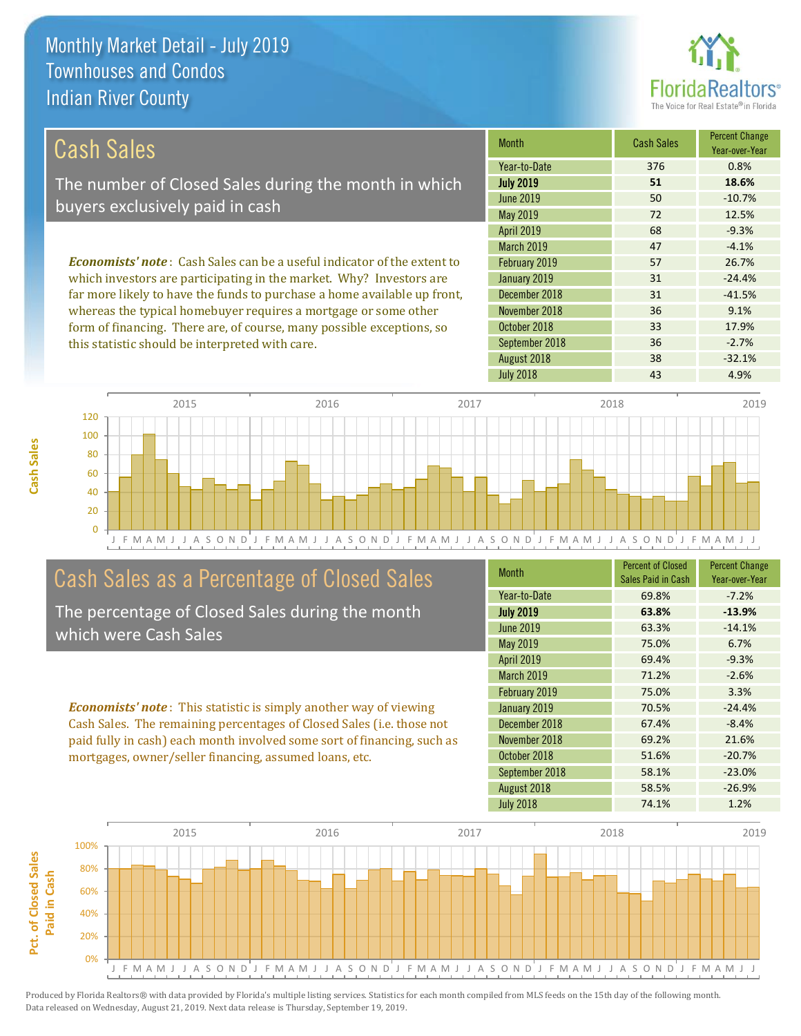

33 17.9%

36 -2.7%

| Cash Sales                                                                     | <b>Month</b>      | <b>Cash Sales</b> | <b>Percent Change</b><br>Year-over-Year |
|--------------------------------------------------------------------------------|-------------------|-------------------|-----------------------------------------|
|                                                                                | Year-to-Date      | 376               | 0.8%                                    |
| The number of Closed Sales during the month in which                           | <b>July 2019</b>  | 51                | 18.6%                                   |
| buyers exclusively paid in cash                                                | June 2019         | 50                | $-10.7%$                                |
|                                                                                | May 2019          | 72                | 12.5%                                   |
|                                                                                | <b>April 2019</b> | 68                | $-9.3%$                                 |
|                                                                                | <b>March 2019</b> | 47                | $-4.1%$                                 |
| <b>Economists' note:</b> Cash Sales can be a useful indicator of the extent to | February 2019     | 57                | 26.7%                                   |
| which investors are participating in the market. Why? Investors are            | January 2019      | 31                | $-24.4%$                                |
| far more likely to have the funds to purchase a home available up front,       | December 2018     | 31                | $-41.5%$                                |
| whereas the typical homebuyer requires a mortgage or some other                | November 2018     | 36                | 9.1%                                    |

J F M A M J J A S O N D J F M A M J J A S O N D J F M A M J J A S O N D J F M A M J J A S O N D J F M A M J J 0 20 40 60 80 100 120 2015 2016 2017 2018 2019

## Cash Sales as a Percentage of Closed Sales

form of financing. There are, of course, many possible exceptions, so

this statistic should be interpreted with care.

The percentage of Closed Sales during the month which were Cash Sales

*Economists' note* : This statistic is simply another way of viewing Cash Sales. The remaining percentages of Closed Sales (i.e. those not paid fully in cash) each month involved some sort of financing, such as mortgages, owner/seller financing, assumed loans, etc.

| <b>Month</b>      | <b>Percent of Closed</b><br>Sales Paid in Cash | <b>Percent Change</b><br>Year-over-Year |
|-------------------|------------------------------------------------|-----------------------------------------|
| Year-to-Date      | 69.8%                                          | $-7.2%$                                 |
| <b>July 2019</b>  | 63.8%                                          | $-13.9%$                                |
| <b>June 2019</b>  | 63.3%                                          | $-14.1%$                                |
| May 2019          | 75.0%                                          | 6.7%                                    |
| <b>April 2019</b> | 69.4%                                          | $-9.3%$                                 |
| March 2019        | 71.2%                                          | $-2.6%$                                 |
| February 2019     | 75.0%                                          | 3.3%                                    |
| January 2019      | 70.5%                                          | $-24.4%$                                |
| December 2018     | 67.4%                                          | $-8.4%$                                 |
| November 2018     | 69.2%                                          | 21.6%                                   |
| October 2018      | 51.6%                                          | $-20.7%$                                |
| September 2018    | 58.1%                                          | $-23.0%$                                |
| August 2018       | 58.5%                                          | $-26.9%$                                |
| <b>July 2018</b>  | 74.1%                                          | 1.2%                                    |

July 2018 **43** 4.9%

August 2018 **38** -32.1%

September 2018

October 2018

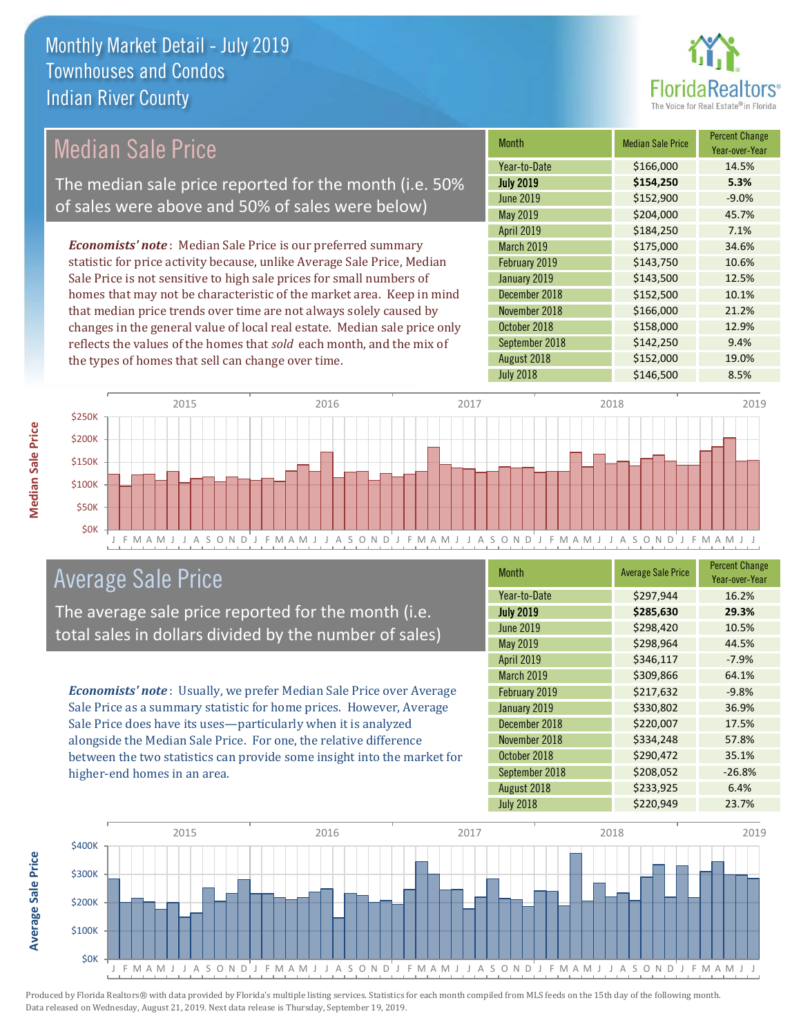

## Median Sale Price

The median sale price reported for the month (i.e. 50% of sales were above and 50% of sales were below)

*Economists' note* : Median Sale Price is our preferred summary statistic for price activity because, unlike Average Sale Price, Median Sale Price is not sensitive to high sale prices for small numbers of homes that may not be characteristic of the market area. Keep in mind that median price trends over time are not always solely caused by changes in the general value of local real estate. Median sale price only reflects the values of the homes that *sold* each month, and the mix of the types of homes that sell can change over time.

| <b>Month</b>     | <b>Median Sale Price</b> | <b>Percent Change</b><br>Year-over-Year |
|------------------|--------------------------|-----------------------------------------|
| Year-to-Date     | \$166,000                | 14.5%                                   |
| <b>July 2019</b> | \$154,250                | 5.3%                                    |
| <b>June 2019</b> | \$152,900                | $-9.0%$                                 |
| <b>May 2019</b>  | \$204,000                | 45.7%                                   |
| April 2019       | \$184,250                | 7.1%                                    |
| March 2019       | \$175,000                | 34.6%                                   |
| February 2019    | \$143,750                | 10.6%                                   |
| January 2019     | \$143,500                | 12.5%                                   |
| December 2018    | \$152,500                | 10.1%                                   |
| November 2018    | \$166,000                | 21.2%                                   |
| October 2018     | \$158,000                | 12.9%                                   |
| September 2018   | \$142,250                | 9.4%                                    |
| August 2018      | \$152,000                | 19.0%                                   |
| <b>July 2018</b> | \$146,500                | 8.5%                                    |



### Average Sale Price

The average sale price reported for the month (i.e. total sales in dollars divided by the number of sales)

*Economists' note* : Usually, we prefer Median Sale Price over Average Sale Price as a summary statistic for home prices. However, Average Sale Price does have its uses—particularly when it is analyzed alongside the Median Sale Price. For one, the relative difference between the two statistics can provide some insight into the market for higher-end homes in an area.

| Month             | <b>Average Sale Price</b> | <b>Percent Change</b><br>Year-over-Year |
|-------------------|---------------------------|-----------------------------------------|
| Year-to-Date      | \$297,944                 | 16.2%                                   |
| <b>July 2019</b>  | \$285,630                 | 29.3%                                   |
| <b>June 2019</b>  | \$298,420                 | 10.5%                                   |
| <b>May 2019</b>   | \$298,964                 | 44.5%                                   |
| <b>April 2019</b> | \$346,117                 | $-7.9%$                                 |
| March 2019        | \$309,866                 | 64.1%                                   |
| February 2019     | \$217,632                 | $-9.8%$                                 |
| January 2019      | \$330,802                 | 36.9%                                   |
| December 2018     | \$220,007                 | 17.5%                                   |
| November 2018     | \$334,248                 | 57.8%                                   |
| October 2018      | \$290,472                 | 35.1%                                   |
| September 2018    | \$208,052                 | $-26.8%$                                |
| August 2018       | \$233,925                 | 6.4%                                    |
| <b>July 2018</b>  | \$220,949                 | 23.7%                                   |



**Median Sale Price** 

Average Sale Price **Average Sale Price**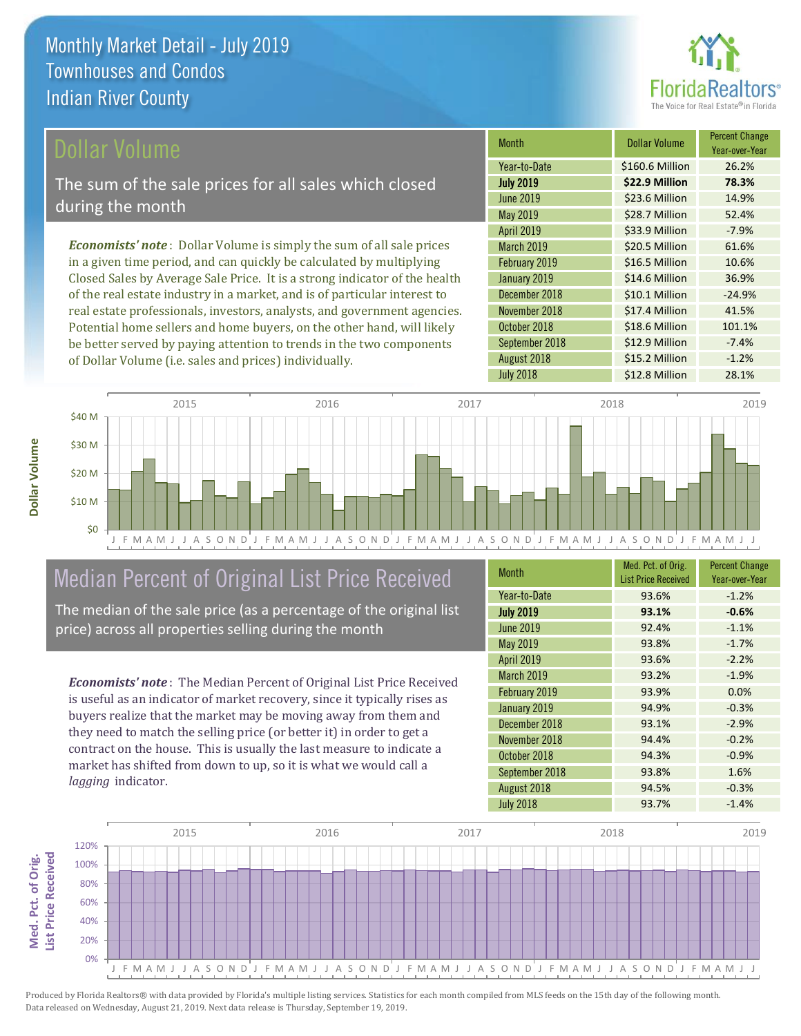

### ollar Volume

The sum of the sale prices for all sales which closed during the month

*Economists' note* : Dollar Volume is simply the sum of all sale prices in a given time period, and can quickly be calculated by multiplying Closed Sales by Average Sale Price. It is a strong indicator of the health of the real estate industry in a market, and is of particular interest to real estate professionals, investors, analysts, and government agencies. Potential home sellers and home buyers, on the other hand, will likely be better served by paying attention to trends in the two components of Dollar Volume (i.e. sales and prices) individually.

| <b>Month</b>      | <b>Dollar Volume</b> | <b>Percent Change</b><br>Year-over-Year |
|-------------------|----------------------|-----------------------------------------|
| Year-to-Date      | \$160.6 Million      | 26.2%                                   |
| <b>July 2019</b>  | \$22.9 Million       | 78.3%                                   |
| <b>June 2019</b>  | \$23.6 Million       | 14.9%                                   |
| May 2019          | \$28.7 Million       | 52.4%                                   |
| <b>April 2019</b> | \$33.9 Million       | $-7.9%$                                 |
| March 2019        | \$20.5 Million       | 61.6%                                   |
| February 2019     | \$16.5 Million       | 10.6%                                   |
| January 2019      | \$14.6 Million       | 36.9%                                   |
| December 2018     | \$10.1 Million       | $-24.9%$                                |
| November 2018     | \$17.4 Million       | 41.5%                                   |
| October 2018      | \$18.6 Million       | 101.1%                                  |
| September 2018    | \$12.9 Million       | $-7.4%$                                 |
| August 2018       | \$15.2 Million       | $-1.2%$                                 |
| <b>July 2018</b>  | \$12.8 Million       | 28.1%                                   |



## Median Percent of Original List Price Received

The median of the sale price (as a percentage of the original list price) across all properties selling during the month

*Economists' note* : The Median Percent of Original List Price Received is useful as an indicator of market recovery, since it typically rises as buyers realize that the market may be moving away from them and they need to match the selling price (or better it) in order to get a contract on the house. This is usually the last measure to indicate a market has shifted from down to up, so it is what we would call a *lagging* indicator.

| Month             | Med. Pct. of Orig.<br><b>List Price Received</b> | <b>Percent Change</b><br>Year-over-Year |
|-------------------|--------------------------------------------------|-----------------------------------------|
| Year-to-Date      | 93.6%                                            | $-1.2%$                                 |
| <b>July 2019</b>  | 93.1%                                            | $-0.6%$                                 |
| <b>June 2019</b>  | 92.4%                                            | $-1.1%$                                 |
| May 2019          | 93.8%                                            | $-1.7%$                                 |
| <b>April 2019</b> | 93.6%                                            | $-2.2%$                                 |
| March 2019        | 93.2%                                            | $-1.9%$                                 |
| February 2019     | 93.9%                                            | 0.0%                                    |
| January 2019      | 94.9%                                            | $-0.3%$                                 |
| December 2018     | 93.1%                                            | $-2.9%$                                 |
| November 2018     | 94.4%                                            | $-0.2%$                                 |
| October 2018      | 94.3%                                            | $-0.9%$                                 |
| September 2018    | 93.8%                                            | 1.6%                                    |
| August 2018       | 94.5%                                            | $-0.3%$                                 |
| <b>July 2018</b>  | 93.7%                                            | $-1.4%$                                 |

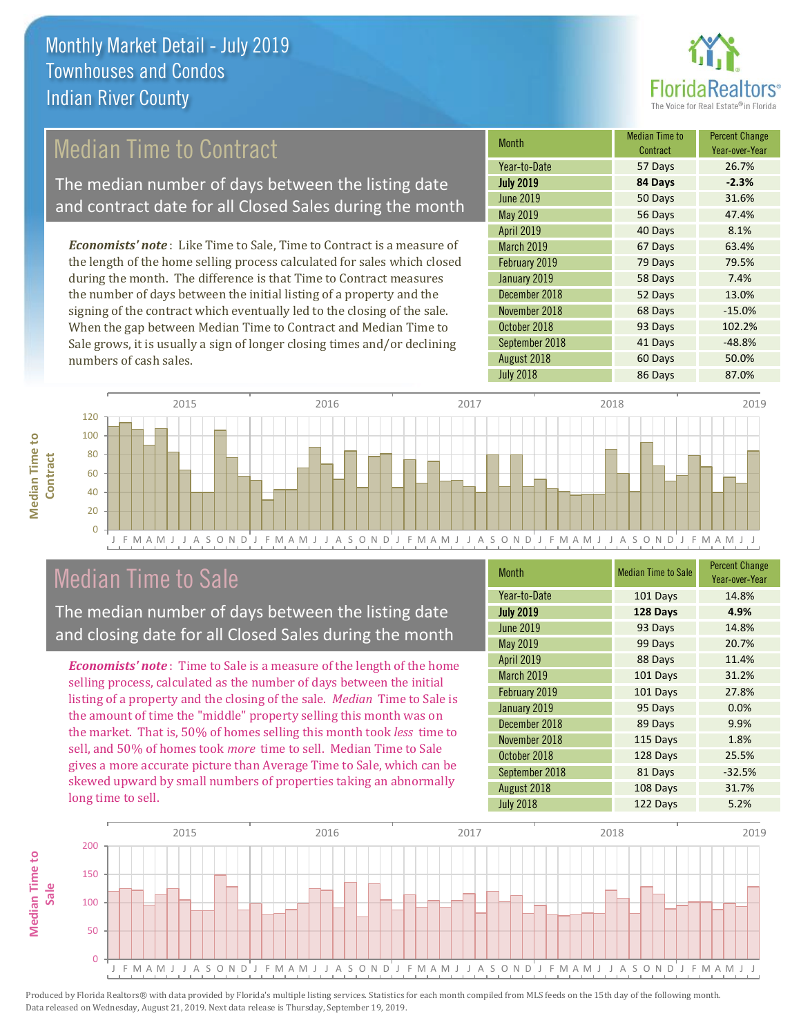

## Median Time to Contract

The median number of days between the listing date and contract date for all Closed Sales during the month

*Economists' note* : Like Time to Sale, Time to Contract is a measure of the length of the home selling process calculated for sales which closed during the month. The difference is that Time to Contract measures the number of days between the initial listing of a property and the signing of the contract which eventually led to the closing of the sale. When the gap between Median Time to Contract and Median Time to Sale grows, it is usually a sign of longer closing times and/or declining numbers of cash sales.

| Month            | <b>Median Time to</b><br>Contract | <b>Percent Change</b><br>Year-over-Year |
|------------------|-----------------------------------|-----------------------------------------|
| Year-to-Date     | 57 Days                           | 26.7%                                   |
| <b>July 2019</b> | 84 Days                           | $-2.3%$                                 |
| <b>June 2019</b> | 50 Days                           | 31.6%                                   |
| <b>May 2019</b>  | 56 Days                           | 47.4%                                   |
| April 2019       | 40 Days                           | 8.1%                                    |
| March 2019       | 67 Days                           | 63.4%                                   |
| February 2019    | 79 Days                           | 79.5%                                   |
| January 2019     | 58 Days                           | 7.4%                                    |
| December 2018    | 52 Days                           | 13.0%                                   |
| November 2018    | 68 Days                           | $-15.0%$                                |
| October 2018     | 93 Days                           | 102.2%                                  |
| September 2018   | 41 Days                           | $-48.8%$                                |
| August 2018      | 60 Days                           | 50.0%                                   |
| <b>July 2018</b> | 86 Days                           | 87.0%                                   |



### Median Time to Sale

**Median Time to Contract**

**Median Time to** 

The median number of days between the listing date and closing date for all Closed Sales during the month

*Economists' note* : Time to Sale is a measure of the length of the home selling process, calculated as the number of days between the initial listing of a property and the closing of the sale. *Median* Time to Sale is the amount of time the "middle" property selling this month was on the market. That is, 50% of homes selling this month took *less* time to sell, and 50% of homes took *more* time to sell. Median Time to Sale gives a more accurate picture than Average Time to Sale, which can be skewed upward by small numbers of properties taking an abnormally long time to sell.

| <b>Month</b>     | <b>Median Time to Sale</b> | <b>Percent Change</b><br>Year-over-Year |
|------------------|----------------------------|-----------------------------------------|
| Year-to-Date     | 101 Days                   | 14.8%                                   |
| <b>July 2019</b> | 128 Days                   | 4.9%                                    |
| <b>June 2019</b> | 93 Days                    | 14.8%                                   |
| May 2019         | 99 Days                    | 20.7%                                   |
| April 2019       | 88 Days                    | 11.4%                                   |
| March 2019       | 101 Days                   | 31.2%                                   |
| February 2019    | 101 Days                   | 27.8%                                   |
| January 2019     | 95 Days                    | 0.0%                                    |
| December 2018    | 89 Days                    | 9.9%                                    |
| November 2018    | 115 Days                   | 1.8%                                    |
| October 2018     | 128 Days                   | 25.5%                                   |
| September 2018   | 81 Days                    | $-32.5%$                                |
| August 2018      | 108 Days                   | 31.7%                                   |
| <b>July 2018</b> | 122 Days                   | 5.2%                                    |

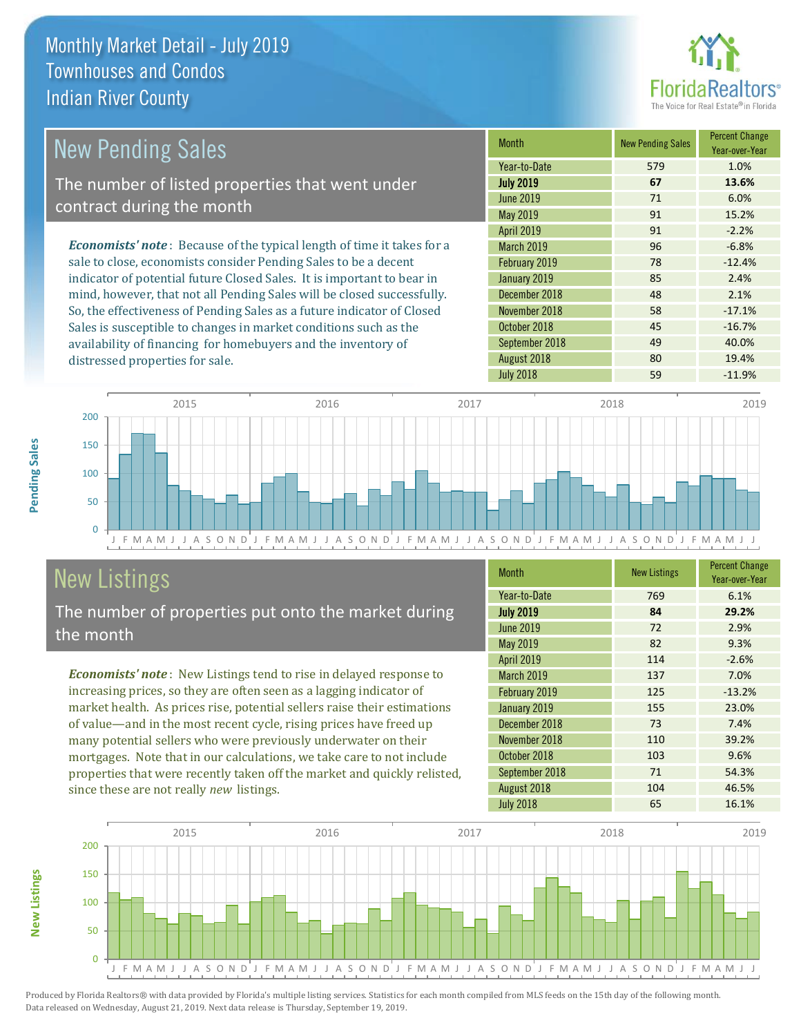distressed properties for sale.



| <b>New Pending Sales</b>                                                       | <b>Month</b>      | <b>New Pending Sales</b> | <b>Percent Change</b><br>Year-over-Year |
|--------------------------------------------------------------------------------|-------------------|--------------------------|-----------------------------------------|
|                                                                                | Year-to-Date      | 579                      | 1.0%                                    |
| The number of listed properties that went under                                | <b>July 2019</b>  | 67                       | 13.6%                                   |
| contract during the month                                                      | <b>June 2019</b>  | 71                       | 6.0%                                    |
|                                                                                | May 2019          | 91                       | 15.2%                                   |
|                                                                                | April 2019        | 91                       | $-2.2%$                                 |
| <b>Economists' note</b> : Because of the typical length of time it takes for a | <b>March 2019</b> | 96                       | $-6.8%$                                 |
| sale to close, economists consider Pending Sales to be a decent                | February 2019     | 78                       | $-12.4%$                                |
| indicator of potential future Closed Sales. It is important to bear in         | January 2019      | 85                       | 2.4%                                    |
| mind, however, that not all Pending Sales will be closed successfully.         | December 2018     | 48                       | 2.1%                                    |
| So, the effectiveness of Pending Sales as a future indicator of Closed         | November 2018     | 58                       | $-17.1%$                                |
| Sales is susceptible to changes in market conditions such as the               | October 2018      | 45                       | $-16.7%$                                |



# New Listings

**New Listings**

**Pending Sales**

Pending Sales

The number of properties put onto the market during the month

availability of financing for homebuyers and the inventory of

*Economists' note* : New Listings tend to rise in delayed response to increasing prices, so they are often seen as a lagging indicator of market health. As prices rise, potential sellers raise their estimations of value—and in the most recent cycle, rising prices have freed up many potential sellers who were previously underwater on their mortgages. Note that in our calculations, we take care to not include properties that were recently taken off the market and quickly relisted, since these are not really *new* listings.

| <b>Month</b>      | <b>New Listings</b> | <b>Percent Change</b><br>Year-over-Year |
|-------------------|---------------------|-----------------------------------------|
| Year-to-Date      | 769                 | 6.1%                                    |
| <b>July 2019</b>  | 84                  | 29.2%                                   |
| <b>June 2019</b>  | 72                  | 2.9%                                    |
| May 2019          | 82                  | 9.3%                                    |
| <b>April 2019</b> | 114                 | $-2.6%$                                 |
| March 2019        | 137                 | 7.0%                                    |
| February 2019     | 125                 | $-13.2%$                                |
| January 2019      | 155                 | 23.0%                                   |
| December 2018     | 73                  | 7.4%                                    |
| November 2018     | 110                 | 39.2%                                   |
| October 2018      | 103                 | 9.6%                                    |
| September 2018    | 71                  | 54.3%                                   |
| August 2018       | 104                 | 46.5%                                   |
| <b>July 2018</b>  | 65                  | 16.1%                                   |

September 2018 **49** 40.0% August 2018 **80** 19.4%

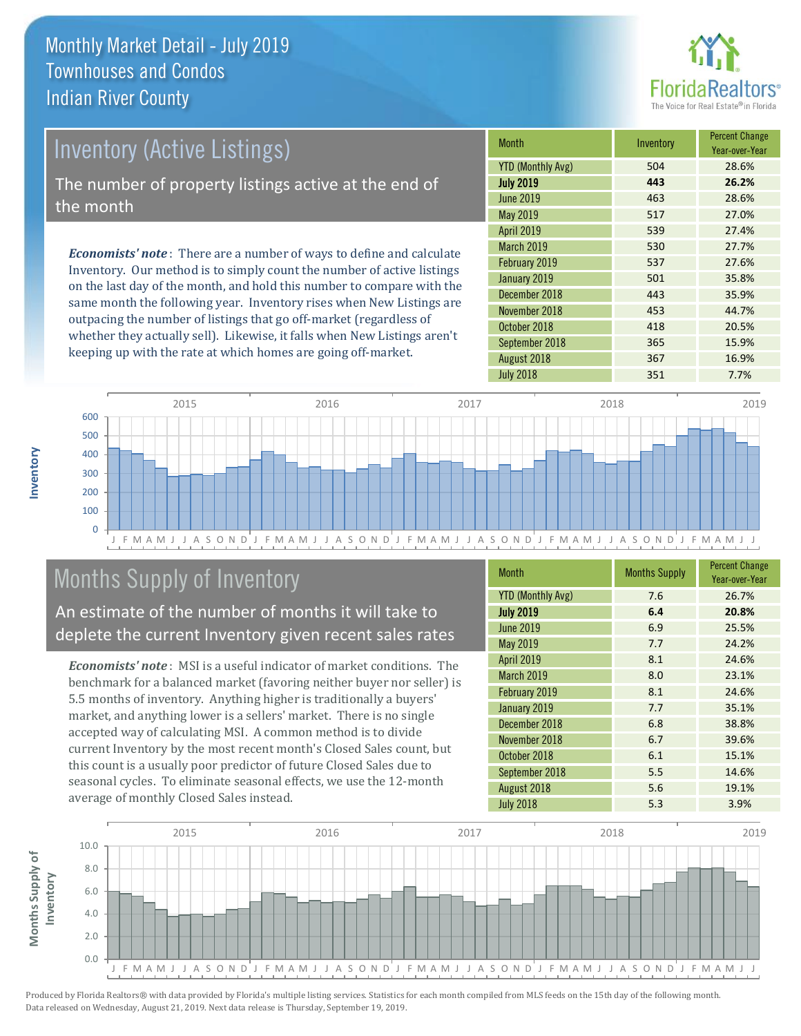

# Inventory (Active Listings) The number of property listings active at the end of the month

*Economists' note* : There are a number of ways to define and calculate Inventory. Our method is to simply count the number of active listings on the last day of the month, and hold this number to compare with the same month the following year. Inventory rises when New Listings are outpacing the number of listings that go off-market (regardless of whether they actually sell). Likewise, it falls when New Listings aren't keeping up with the rate at which homes are going off-market.

| Month                    | Inventory | <b>Percent Change</b><br>Year-over-Year |
|--------------------------|-----------|-----------------------------------------|
| <b>YTD (Monthly Avg)</b> | 504       | 28.6%                                   |
| <b>July 2019</b>         | 443       | 26.2%                                   |
| <b>June 2019</b>         | 463       | 28.6%                                   |
| May 2019                 | 517       | 27.0%                                   |
| <b>April 2019</b>        | 539       | 27.4%                                   |
| <b>March 2019</b>        | 530       | 27.7%                                   |
| February 2019            | 537       | 27.6%                                   |
| January 2019             | 501       | 35.8%                                   |
| December 2018            | 443       | 35.9%                                   |
| November 2018            | 453       | 44.7%                                   |
| October 2018             | 418       | 20.5%                                   |
| September 2018           | 365       | 15.9%                                   |
| August 2018              | 367       | 16.9%                                   |
| <b>July 2018</b>         | 351       | 7.7%                                    |



# Months Supply of Inventory

An estimate of the number of months it will take to deplete the current Inventory given recent sales rates

*Economists' note* : MSI is a useful indicator of market conditions. The benchmark for a balanced market (favoring neither buyer nor seller) is 5.5 months of inventory. Anything higher is traditionally a buyers' market, and anything lower is a sellers' market. There is no single accepted way of calculating MSI. A common method is to divide current Inventory by the most recent month's Closed Sales count, but this count is a usually poor predictor of future Closed Sales due to seasonal cycles. To eliminate seasonal effects, we use the 12-month average of monthly Closed Sales instead.

| <b>Month</b>             | <b>Months Supply</b> | <b>Percent Change</b><br>Year-over-Year |
|--------------------------|----------------------|-----------------------------------------|
| <b>YTD (Monthly Avg)</b> | 7.6                  | 26.7%                                   |
| <b>July 2019</b>         | 6.4                  | 20.8%                                   |
| <b>June 2019</b>         | 6.9                  | 25.5%                                   |
| May 2019                 | 7.7                  | 24.2%                                   |
| <b>April 2019</b>        | 8.1                  | 24.6%                                   |
| March 2019               | 8.0                  | 23.1%                                   |
| February 2019            | 8.1                  | 24.6%                                   |
| January 2019             | 7.7                  | 35.1%                                   |
| December 2018            | 6.8                  | 38.8%                                   |
| November 2018            | 6.7                  | 39.6%                                   |
| October 2018             | 6.1                  | 15.1%                                   |
| September 2018           | 5.5                  | 14.6%                                   |
| August 2018              | 5.6                  | 19.1%                                   |
| <b>July 2018</b>         | 5.3                  | 3.9%                                    |

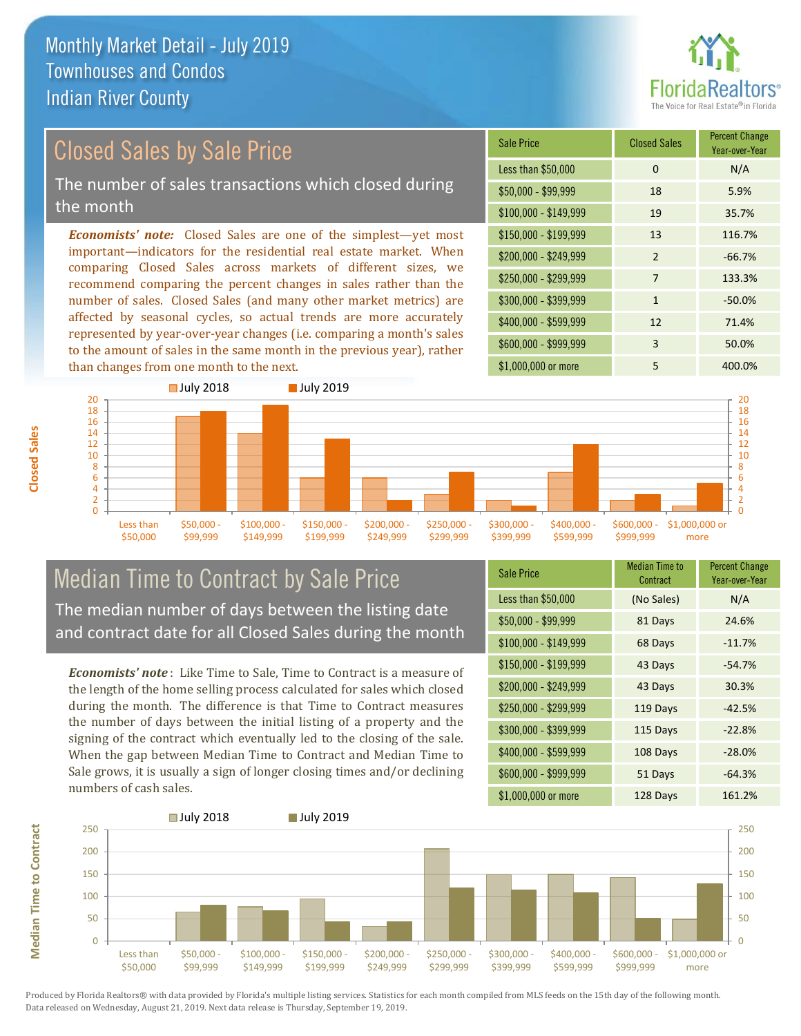

# Closed Sales by Sale Price

The number of sales transactions which closed during the month

*Economists' note:* Closed Sales are one of the simplest—yet most important—indicators for the residential real estate market. When comparing Closed Sales across markets of different sizes, we recommend comparing the percent changes in sales rather than the number of sales. Closed Sales (and many other market metrics) are affected by seasonal cycles, so actual trends are more accurately represented by year-over-year changes (i.e. comparing a month's sales to the amount of sales in the same month in the previous year), rather than changes from one month to the next.





### Median Time to Contract by Sale Price The median number of days between the listing date and contract date for all Closed Sales during the month

*Economists' note* : Like Time to Sale, Time to Contract is a measure of the length of the home selling process calculated for sales which closed during the month. The difference is that Time to Contract measures the number of days between the initial listing of a property and the signing of the contract which eventually led to the closing of the sale. When the gap between Median Time to Contract and Median Time to Sale grows, it is usually a sign of longer closing times and/or declining numbers of cash sales.

| <b>Sale Price</b>     | Median Time to<br>Contract | <b>Percent Change</b><br>Year-over-Year |
|-----------------------|----------------------------|-----------------------------------------|
| Less than \$50,000    | (No Sales)                 | N/A                                     |
| $$50,000 - $99,999$   | 81 Days                    | 24.6%                                   |
| $$100,000 - $149,999$ | 68 Days                    | $-11.7%$                                |
| $$150,000 - $199,999$ | 43 Days                    | $-54.7%$                                |
| \$200,000 - \$249,999 | 43 Days                    | 30.3%                                   |
| \$250,000 - \$299,999 | 119 Days                   | $-42.5%$                                |
| \$300,000 - \$399,999 | 115 Days                   | $-22.8%$                                |
| \$400,000 - \$599,999 | 108 Days                   | $-28.0%$                                |
| \$600,000 - \$999,999 | 51 Days                    | $-64.3%$                                |
| \$1,000,000 or more   | 128 Days                   | 161.2%                                  |



Produced by Florida Realtors® with data provided by Florida's multiple listing services. Statistics for each month compiled from MLS feeds on the 15th day of the following month. Data released on Wednesday, August 21, 2019. Next data release is Thursday, September 19, 2019.

**Median Time to Contract**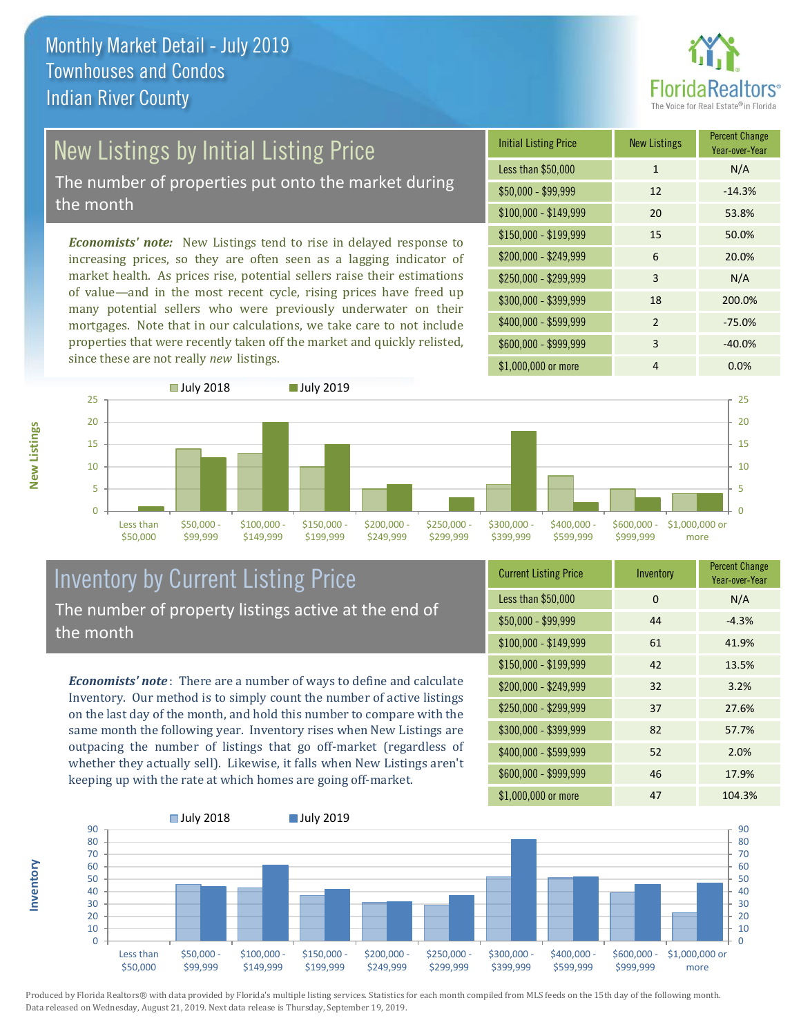

# New Listings by Initial Listing Price

The number of properties put onto the market during the month

*Economists' note:* New Listings tend to rise in delayed response to increasing prices, so they are often seen as a lagging indicator of market health. As prices rise, potential sellers raise their estimations of value—and in the most recent cycle, rising prices have freed up many potential sellers who were previously underwater on their mortgages. Note that in our calculations, we take care to not include properties that were recently taken off the market and quickly relisted, since these are not really *new* listings.

| <b>Initial Listing Price</b> | <b>New Listings</b> | <b>Percent Change</b><br>Year-over-Year |
|------------------------------|---------------------|-----------------------------------------|
| Less than \$50,000           | $\mathbf{1}$        | N/A                                     |
| $$50,000 - $99,999$          | 12                  | $-14.3%$                                |
| $$100,000 - $149,999$        | 20                  | 53.8%                                   |
| $$150,000 - $199,999$        | 15                  | 50.0%                                   |
| \$200,000 - \$249,999        | 6                   | 20.0%                                   |
| \$250,000 - \$299,999        | 3                   | N/A                                     |
| \$300,000 - \$399,999        | 18                  | 200.0%                                  |
| \$400,000 - \$599,999        | $\mathcal{P}$       | $-75.0%$                                |
| \$600,000 - \$999,999        | 3                   | $-40.0%$                                |
| \$1,000,000 or more          | 4                   | $0.0\%$                                 |



### Inventory by Current Listing Price The number of property listings active at the end of the month

*Economists' note* : There are a number of ways to define and calculate Inventory. Our method is to simply count the number of active listings on the last day of the month, and hold this number to compare with the same month the following year. Inventory rises when New Listings are outpacing the number of listings that go off-market (regardless of whether they actually sell). Likewise, it falls when New Listings aren't keeping up with the rate at which homes are going off-market.

| <b>Current Listing Price</b> | Inventory | <b>Percent Change</b><br>Year-over-Year |
|------------------------------|-----------|-----------------------------------------|
| Less than \$50,000           | 0         | N/A                                     |
| $$50,000 - $99,999$          | 44        | $-4.3%$                                 |
| $$100,000 - $149,999$        | 61        | 41.9%                                   |
| $$150,000 - $199,999$        | 42        | 13.5%                                   |
| \$200,000 - \$249,999        | 32        | 3.2%                                    |
| \$250,000 - \$299,999        | 37        | 27.6%                                   |
| \$300,000 - \$399,999        | 82        | 57.7%                                   |
| \$400,000 - \$599,999        | 52        | 2.0%                                    |
| \$600,000 - \$999,999        | 46        | 17.9%                                   |
| \$1,000,000 or more          | 47        | 104.3%                                  |



Produced by Florida Realtors® with data provided by Florida's multiple listing services. Statistics for each month compiled from MLS feeds on the 15th day of the following month. Data released on Wednesday, August 21, 2019. Next data release is Thursday, September 19, 2019.

**Inventory**